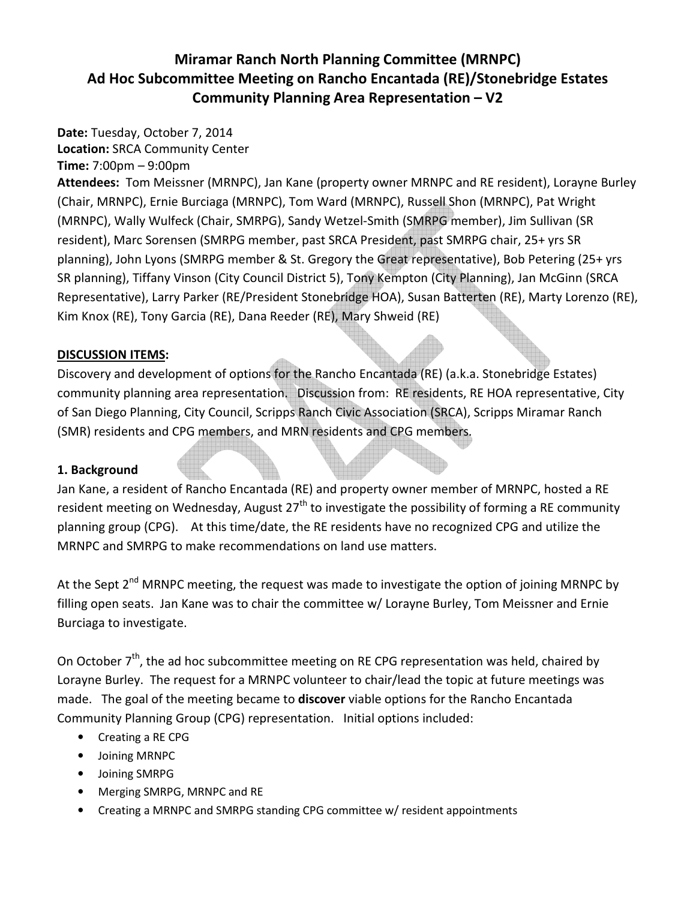# Miramar Ranch North Planning Committee (MRNPC) Ad Hoc Subcommittee Meeting on Rancho Encantada (RE)/Stonebridge Estates Community Planning Area Representation – V2

Date: Tuesday, October 7, 2014 Location: SRCA Community Center

Time: 7:00pm – 9:00pm

Attendees: Tom Meissner (MRNPC), Jan Kane (property owner MRNPC and RE resident), Lorayne Burley (Chair, MRNPC), Ernie Burciaga (MRNPC), Tom Ward (MRNPC), Russell Shon (MRNPC), Pat Wright (MRNPC), Wally Wulfeck (Chair, SMRPG), Sandy Wetzel-Smith (SMRPG member), Jim Sullivan (SR resident), Marc Sorensen (SMRPG member, past SRCA President, past SMRPG chair, 25+ yrs SR planning), John Lyons (SMRPG member & St. Gregory the Great representative), Bob Petering (25+ yrs SR planning), Tiffany Vinson (City Council District 5), Tony Kempton (City Planning), Jan McGinn (SRCA Representative), Larry Parker (RE/President Stonebridge HOA), Susan Batterten (RE), Marty Lorenzo (RE), Kim Knox (RE), Tony Garcia (RE), Dana Reeder (RE), Mary Shweid (RE)

#### DISCUSSION ITEMS:

Discovery and development of options for the Rancho Encantada (RE) (a.k.a. Stonebridge Estates) community planning area representation. Discussion from: RE residents, RE HOA representative, City of San Diego Planning, City Council, Scripps Ranch Civic Association (SRCA), Scripps Miramar Ranch (SMR) residents and CPG members, and MRN residents and CPG members.

#### 1. Background

Jan Kane, a resident of Rancho Encantada (RE) and property owner member of MRNPC, hosted a RE resident meeting on Wednesday, August  $27<sup>th</sup>$  to investigate the possibility of forming a RE community planning group (CPG). At this time/date, the RE residents have no recognized CPG and utilize the MRNPC and SMRPG to make recommendations on land use matters.

At the Sept  $2^{nd}$  MRNPC meeting, the request was made to investigate the option of joining MRNPC by filling open seats. Jan Kane was to chair the committee w/ Lorayne Burley, Tom Meissner and Ernie Burciaga to investigate.

On October  $7<sup>th</sup>$ , the ad hoc subcommittee meeting on RE CPG representation was held, chaired by Lorayne Burley. The request for a MRNPC volunteer to chair/lead the topic at future meetings was made. The goal of the meeting became to discover viable options for the Rancho Encantada Community Planning Group (CPG) representation. Initial options included:

- Creating a RE CPG
- Joining MRNPC
- Joining SMRPG
- Merging SMRPG, MRNPC and RE
- Creating a MRNPC and SMRPG standing CPG committee w/ resident appointments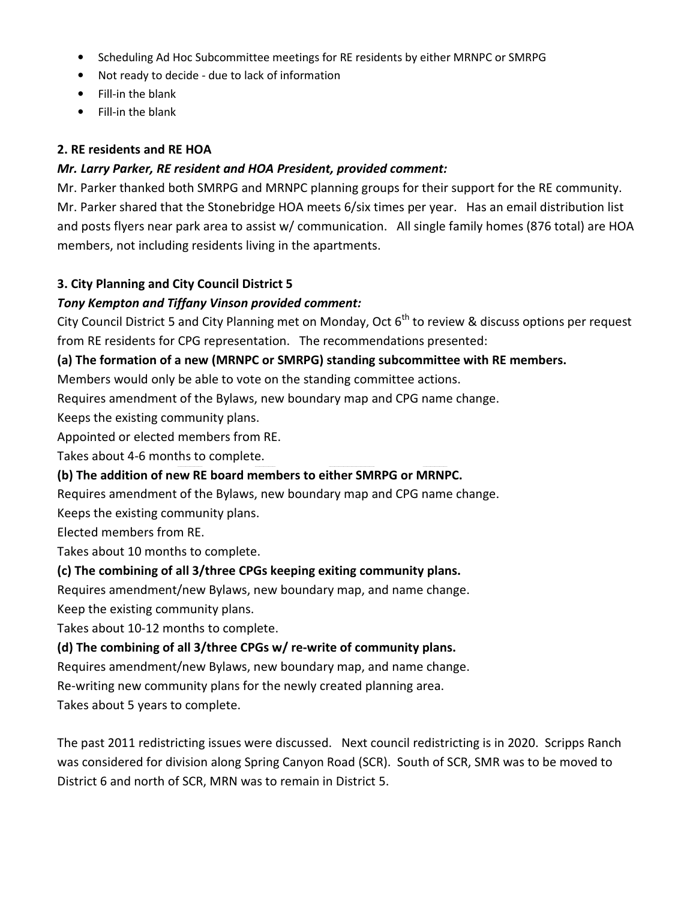- Scheduling Ad Hoc Subcommittee meetings for RE residents by either MRNPC or SMRPG
- Not ready to decide due to lack of information
- Fill-in the blank
- Fill-in the blank

#### 2. RE residents and RE HOA

#### Mr. Larry Parker, RE resident and HOA President, provided comment:

Mr. Parker thanked both SMRPG and MRNPC planning groups for their support for the RE community. Mr. Parker shared that the Stonebridge HOA meets 6/six times per year. Has an email distribution list and posts flyers near park area to assist w/ communication. All single family homes (876 total) are HOA members, not including residents living in the apartments.

#### 3. City Planning and City Council District 5

# Tony Kempton and Tiffany Vinson provided comment:

City Council District 5 and City Planning met on Monday, Oct  $6<sup>th</sup>$  to review & discuss options per request from RE residents for CPG representation. The recommendations presented:

#### (a) The formation of a new (MRNPC or SMRPG) standing subcommittee with RE members.

Members would only be able to vote on the standing committee actions.

Requires amendment of the Bylaws, new boundary map and CPG name change.

Keeps the existing community plans.

Appointed or elected members from RE.

Takes about 4-6 months to complete.

# (b) The addition of new RE board members to either SMRPG or MRNPC.

Requires amendment of the Bylaws, new boundary map and CPG name change.

Keeps the existing community plans.

Elected members from RE.

Takes about 10 months to complete.

# (c) The combining of all 3/three CPGs keeping exiting community plans.

Requires amendment/new Bylaws, new boundary map, and name change.

Keep the existing community plans.

Takes about 10-12 months to complete.

# (d) The combining of all 3/three CPGs w/ re-write of community plans.

Requires amendment/new Bylaws, new boundary map, and name change.

Re-writing new community plans for the newly created planning area.

Takes about 5 years to complete.

The past 2011 redistricting issues were discussed. Next council redistricting is in 2020. Scripps Ranch was considered for division along Spring Canyon Road (SCR). South of SCR, SMR was to be moved to District 6 and north of SCR, MRN was to remain in District 5.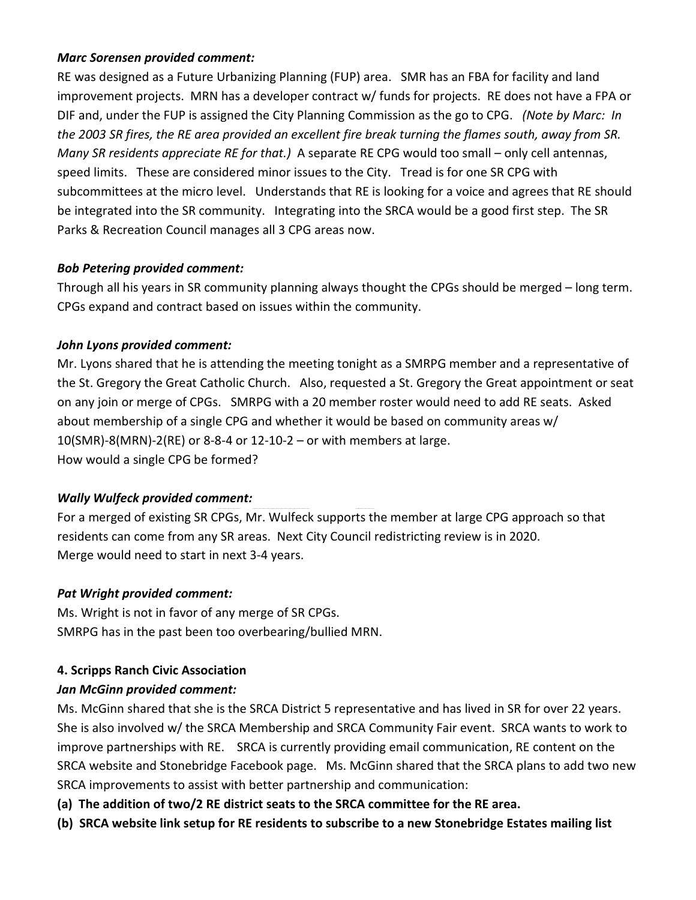#### Marc Sorensen provided comment:

RE was designed as a Future Urbanizing Planning (FUP) area. SMR has an FBA for facility and land improvement projects. MRN has a developer contract w/ funds for projects. RE does not have a FPA or DIF and, under the FUP is assigned the City Planning Commission as the go to CPG. (Note by Marc: In the 2003 SR fires, the RE area provided an excellent fire break turning the flames south, away from SR. Many SR residents appreciate RE for that.) A separate RE CPG would too small – only cell antennas, speed limits. These are considered minor issues to the City. Tread is for one SR CPG with subcommittees at the micro level. Understands that RE is looking for a voice and agrees that RE should be integrated into the SR community. Integrating into the SRCA would be a good first step. The SR Parks & Recreation Council manages all 3 CPG areas now.

#### Bob Petering provided comment:

Through all his years in SR community planning always thought the CPGs should be merged – long term. CPGs expand and contract based on issues within the community.

#### John Lyons provided comment:

Mr. Lyons shared that he is attending the meeting tonight as a SMRPG member and a representative of the St. Gregory the Great Catholic Church. Also, requested a St. Gregory the Great appointment or seat on any join or merge of CPGs. SMRPG with a 20 member roster would need to add RE seats. Asked about membership of a single CPG and whether it would be based on community areas w/  $10(SMR) - 8(MRN) - 2(RE)$  or 8-8-4 or 12-10-2 – or with members at large. How would a single CPG be formed?

# Wally Wulfeck provided comment:

For a merged of existing SR CPGs, Mr. Wulfeck supports the member at large CPG approach so that residents can come from any SR areas. Next City Council redistricting review is in 2020. Merge would need to start in next 3-4 years.

#### Pat Wright provided comment:

Ms. Wright is not in favor of any merge of SR CPGs. SMRPG has in the past been too overbearing/bullied MRN.

# 4. Scripps Ranch Civic Association

# Jan McGinn provided comment:

Ms. McGinn shared that she is the SRCA District 5 representative and has lived in SR for over 22 years. She is also involved w/ the SRCA Membership and SRCA Community Fair event. SRCA wants to work to improve partnerships with RE. SRCA is currently providing email communication, RE content on the SRCA website and Stonebridge Facebook page. Ms. McGinn shared that the SRCA plans to add two new SRCA improvements to assist with better partnership and communication:

(a) The addition of two/2 RE district seats to the SRCA committee for the RE area.

(b) SRCA website link setup for RE residents to subscribe to a new Stonebridge Estates mailing list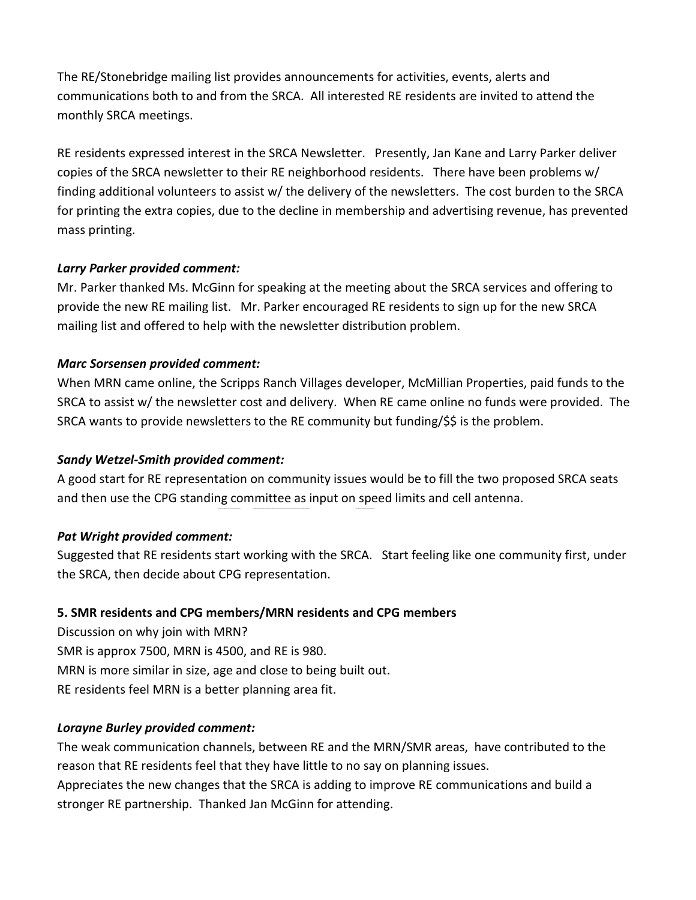The RE/Stonebridge mailing list provides announcements for activities, events, alerts and communications both to and from the SRCA. All interested RE residents are invited to attend the monthly SRCA meetings.

RE residents expressed interest in the SRCA Newsletter. Presently, Jan Kane and Larry Parker deliver copies of the SRCA newsletter to their RE neighborhood residents. There have been problems w/ finding additional volunteers to assist w/ the delivery of the newsletters. The cost burden to the SRCA for printing the extra copies, due to the decline in membership and advertising revenue, has prevented mass printing.

#### Larry Parker provided comment:

Mr. Parker thanked Ms. McGinn for speaking at the meeting about the SRCA services and offering to provide the new RE mailing list. Mr. Parker encouraged RE residents to sign up for the new SRCA mailing list and offered to help with the newsletter distribution problem.

# Marc Sorsensen provided comment:

When MRN came online, the Scripps Ranch Villages developer, McMillian Properties, paid funds to the SRCA to assist w/ the newsletter cost and delivery. When RE came online no funds were provided. The SRCA wants to provide newsletters to the RE community but funding/\$\$ is the problem.

# Sandy Wetzel-Smith provided comment:

A good start for RE representation on community issues would be to fill the two proposed SRCA seats and then use the CPG standing committee as input on speed limits and cell antenna.

# Pat Wright provided comment:

Suggested that RE residents start working with the SRCA. Start feeling like one community first, under the SRCA, then decide about CPG representation.

# 5. SMR residents and CPG members/MRN residents and CPG members

Discussion on why join with MRN? SMR is approx 7500, MRN is 4500, and RE is 980. MRN is more similar in size, age and close to being built out. RE residents feel MRN is a better planning area fit.

# Lorayne Burley provided comment:

The weak communication channels, between RE and the MRN/SMR areas, have contributed to the reason that RE residents feel that they have little to no say on planning issues.

Appreciates the new changes that the SRCA is adding to improve RE communications and build a stronger RE partnership. Thanked Jan McGinn for attending.